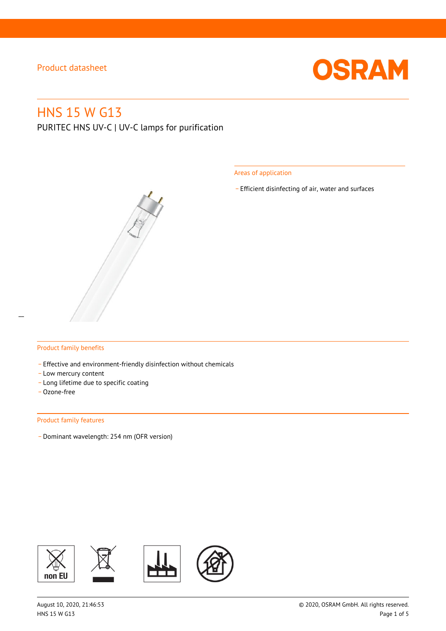

# HNS 15 W G13

PURITEC HNS UV-C | UV-C lamps for purification

Areas of application

\_ Efficient disinfecting of air, water and surfaces



#### Product family benefits

- Effective and environment-friendly disinfection without chemicals
- Low mercury content
- \_ Long lifetime due to specific coating
- \_ Ozone-free

#### Product family features

\_ Dominant wavelength: 254 nm (OFR version)

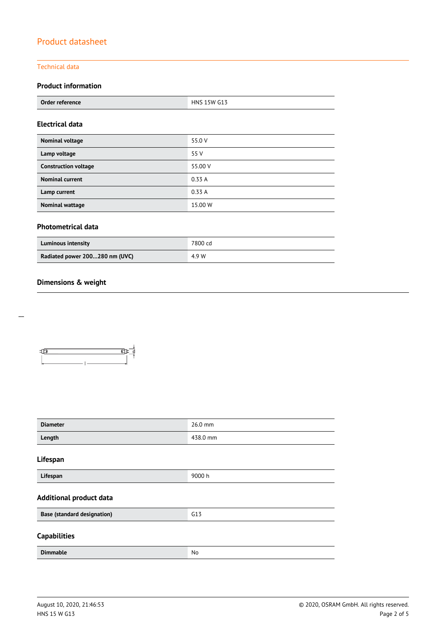### Technical data

## **Product information**

| Order reference | G13<br>пиц<br><b>15W</b><br>. |
|-----------------|-------------------------------|
|                 |                               |

### **Electrical data**

| Nominal voltage             | 55.0 V  |
|-----------------------------|---------|
| Lamp voltage                | 55 V    |
| <b>Construction voltage</b> | 55.00 V |
| <b>Nominal current</b>      | 0.33A   |
| Lamp current                | 0.33A   |
| <b>Nominal wattage</b>      | 15.00 W |

## **Photometrical data**

| <b>Luminous intensity</b>      | 7800 cd |
|--------------------------------|---------|
| Radiated power 200280 nm (UVC) | 4.9 W   |

## **Dimensions & weight**



| <b>Diameter</b>                    | 26.0 mm  |  |  |
|------------------------------------|----------|--|--|
| Length                             | 438.0 mm |  |  |
| Lifespan                           |          |  |  |
| Lifespan                           | 9000 h   |  |  |
| <b>Additional product data</b>     |          |  |  |
| <b>Base (standard designation)</b> | G13      |  |  |
| <b>Capabilities</b>                |          |  |  |
| <b>Dimmable</b>                    | No       |  |  |

 $\overline{a}$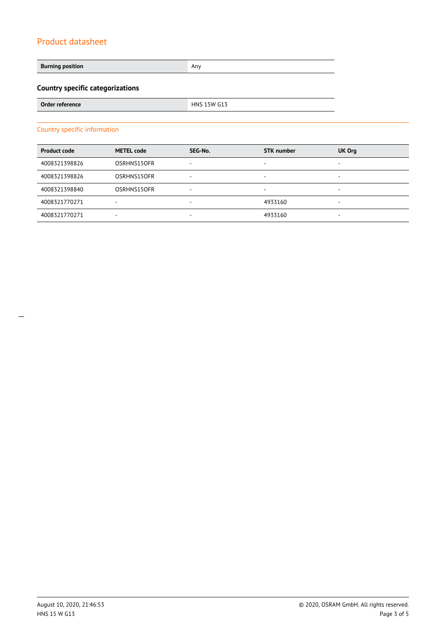**Burning position Any Any Any Any Any Any Any Any Any** 

# **Country specific categorizations**

| Order reference | 15W G13<br>HNS |
|-----------------|----------------|
|                 |                |

#### Country specific information

| <b>Product code</b> | <b>METEL code</b> | SEG-No. | <b>STK</b> number | UK Org                   |
|---------------------|-------------------|---------|-------------------|--------------------------|
| 4008321398826       | OSRHNS15OFR       | ۰       | -                 | $\overline{\phantom{a}}$ |
| 4008321398826       | OSRHNS15OFR       | ۰       | -                 | $\overline{\phantom{a}}$ |
| 4008321398840       | OSRHNS15OFR       | ۰       | ۰                 | $\overline{\phantom{a}}$ |
| 4008321770271       | -                 | $\sim$  | 4933160           | $\overline{\phantom{a}}$ |
| 4008321770271       | ٠                 | ۰       | 4933160           | $\overline{\phantom{a}}$ |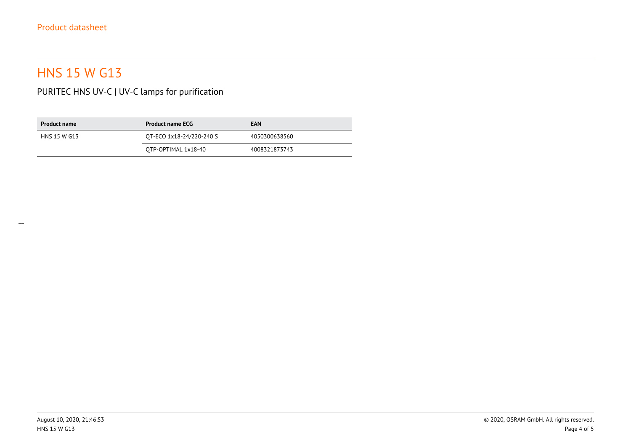# HNS 15 W G13

PURITEC HNS UV-C | UV-C lamps for purification

| <b>Product name</b> | <b>Product name ECG</b>  | <b>EAN</b>    |
|---------------------|--------------------------|---------------|
| HNS 15 W G13        | OT-ECO 1x18-24/220-240 S | 4050300638560 |
|                     | OTP-OPTIMAL 1x18-40      | 4008321873743 |